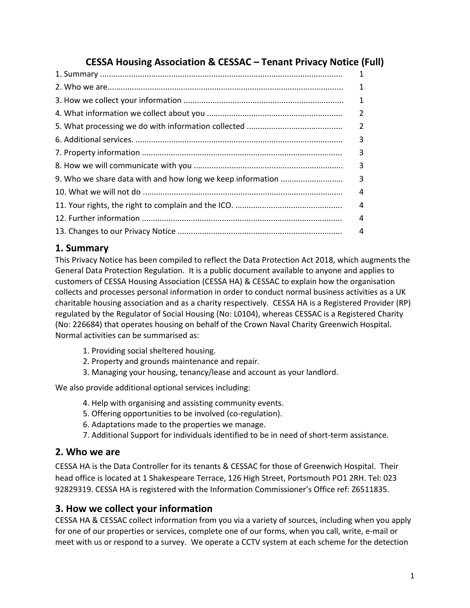# **CESSA Housing Association & CESSAC – Tenant Privacy Notice (Full)**

| 1              |
|----------------|
|                |
| $\overline{2}$ |
| $\overline{2}$ |
| 3              |
| 3              |
|                |
|                |
|                |
| 4              |
|                |
|                |

# **1. Summary**

This Privacy Notice has been compiled to reflect the Data Protection Act 2018, which augments the General Data Protection Regulation. It is a public document available to anyone and applies to customers of CESSA Housing Association (CESSA HA) & CESSAC to explain how the organisation collects and processes personal information in order to conduct normal business activities as a UK charitable housing association and as a charity respectively. CESSA HA is a Registered Provider (RP) regulated by the Regulator of Social Housing (No: L0104), whereas CESSAC is a Registered Charity (No: 226684) that operates housing on behalf of the Crown Naval Charity Greenwich Hospital. Normal activities can be summarised as:

- 1. Providing social sheltered housing.
- 2. Property and grounds maintenance and repair.
- 3. Managing your housing, tenancy/lease and account as your landlord.

We also provide additional optional services including:

- 4. Help with organising and assisting community events.
- 5. Offering opportunities to be involved (co-regulation).
- 6. Adaptations made to the properties we manage.
- 7. Additional Support for individuals identified to be in need of short-term assistance.

### **2. Who we are**

CESSA HA is the Data Controller for its tenants & CESSAC for those of Greenwich Hospital. Their head office is located at 1 Shakespeare Terrace, 126 High Street, Portsmouth PO1 2RH. Tel: 023 92829319. CESSA HA is registered with the Information Commissioner's Office ref: Z6511835.

### **3. How we collect your information**

CESSA HA & CESSAC collect information from you via a variety of sources, including when you apply for one of our properties or services, complete one of our forms, when you call, write, e-mail or meet with us or respond to a survey. We operate a CCTV system at each scheme for the detection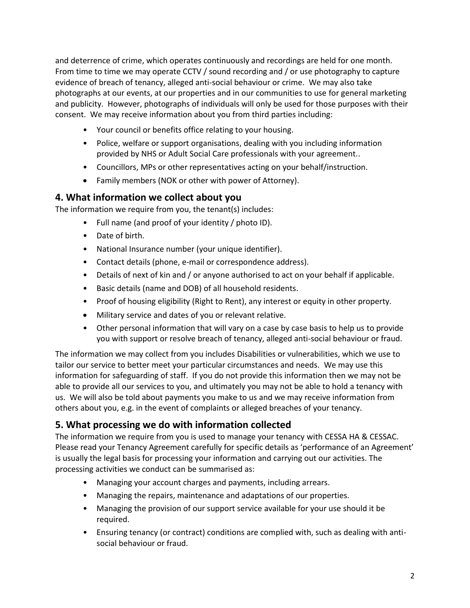and deterrence of crime, which operates continuously and recordings are held for one month. From time to time we may operate CCTV / sound recording and / or use photography to capture evidence of breach of tenancy, alleged anti-social behaviour or crime. We may also take photographs at our events, at our properties and in our communities to use for general marketing and publicity. However, photographs of individuals will only be used for those purposes with their consent. We may receive information about you from third parties including:

- Your council or benefits office relating to your housing.
- Police, welfare or support organisations, dealing with you including information provided by NHS or Adult Social Care professionals with your agreement..
- Councillors, MPs or other representatives acting on your behalf/instruction.
- Family members (NOK or other with power of Attorney).

### **4. What information we collect about you**

The information we require from you, the tenant(s) includes:

- Full name (and proof of your identity / photo ID).
- Date of birth.
- National Insurance number (your unique identifier).
- Contact details (phone, e-mail or correspondence address).
- Details of next of kin and / or anyone authorised to act on your behalf if applicable.
- Basic details (name and DOB) of all household residents.
- Proof of housing eligibility (Right to Rent), any interest or equity in other property.
- Military service and dates of you or relevant relative.
- Other personal information that will vary on a case by case basis to help us to provide you with support or resolve breach of tenancy, alleged anti-social behaviour or fraud.

The information we may collect from you includes Disabilities or vulnerabilities, which we use to tailor our service to better meet your particular circumstances and needs. We may use this information for safeguarding of staff. If you do not provide this information then we may not be able to provide all our services to you, and ultimately you may not be able to hold a tenancy with us. We will also be told about payments you make to us and we may receive information from others about you, e.g. in the event of complaints or alleged breaches of your tenancy.

## **5. What processing we do with information collected**

The information we require from you is used to manage your tenancy with CESSA HA & CESSAC. Please read your Tenancy Agreement carefully for specific details as 'performance of an Agreement' is usually the legal basis for processing your information and carrying out our activities. The processing activities we conduct can be summarised as:

- Managing your account charges and payments, including arrears.
- Managing the repairs, maintenance and adaptations of our properties.
- Managing the provision of our support service available for your use should it be required.
- Ensuring tenancy (or contract) conditions are complied with, such as dealing with antisocial behaviour or fraud.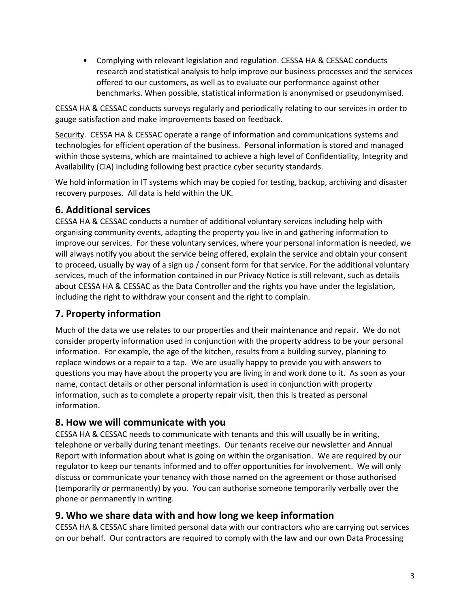• Complying with relevant legislation and regulation. CESSA HA & CESSAC conducts research and statistical analysis to help improve our business processes and the services offered to our customers, as well as to evaluate our performance against other benchmarks. When possible, statistical information is anonymised or pseudonymised.

CESSA HA & CESSAC conducts surveys regularly and periodically relating to our services in order to gauge satisfaction and make improvements based on feedback.

Security. CESSA HA & CESSAC operate a range of information and communications systems and technologies for efficient operation of the business. Personal information is stored and managed within those systems, which are maintained to achieve a high level of Confidentiality, Integrity and Availability (CIA) including following best practice cyber security standards.

We hold information in IT systems which may be copied for testing, backup, archiving and disaster recovery purposes. All data is held within the UK.

# **6. Additional services**

CESSA HA & CESSAC conducts a number of additional voluntary services including help with organising community events, adapting the property you live in and gathering information to improve our services. For these voluntary services, where your personal information is needed, we will always notify you about the service being offered, explain the service and obtain your consent to proceed, usually by way of a sign up / consent form for that service. For the additional voluntary services, much of the information contained in our Privacy Notice is still relevant, such as details about CESSA HA & CESSAC as the Data Controller and the rights you have under the legislation, including the right to withdraw your consent and the right to complain.

# **7. Property information**

Much of the data we use relates to our properties and their maintenance and repair. We do not consider property information used in conjunction with the property address to be your personal information. For example, the age of the kitchen, results from a building survey, planning to replace windows or a repair to a tap. We are usually happy to provide you with answers to questions you may have about the property you are living in and work done to it. As soon as your name, contact details or other personal information is used in conjunction with property information, such as to complete a property repair visit, then this is treated as personal information.

## **8. How we will communicate with you**

CESSA HA & CESSAC needs to communicate with tenants and this will usually be in writing, telephone or verbally during tenant meetings. Our tenants receive our newsletter and Annual Report with information about what is going on within the organisation. We are required by our regulator to keep our tenants informed and to offer opportunities for involvement. We will only discuss or communicate your tenancy with those named on the agreement or those authorised (temporarily or permanently) by you. You can authorise someone temporarily verbally over the phone or permanently in writing.

## **9. Who we share data with and how long we keep information**

CESSA HA & CESSAC share limited personal data with our contractors who are carrying out services on our behalf. Our contractors are required to comply with the law and our own Data Processing